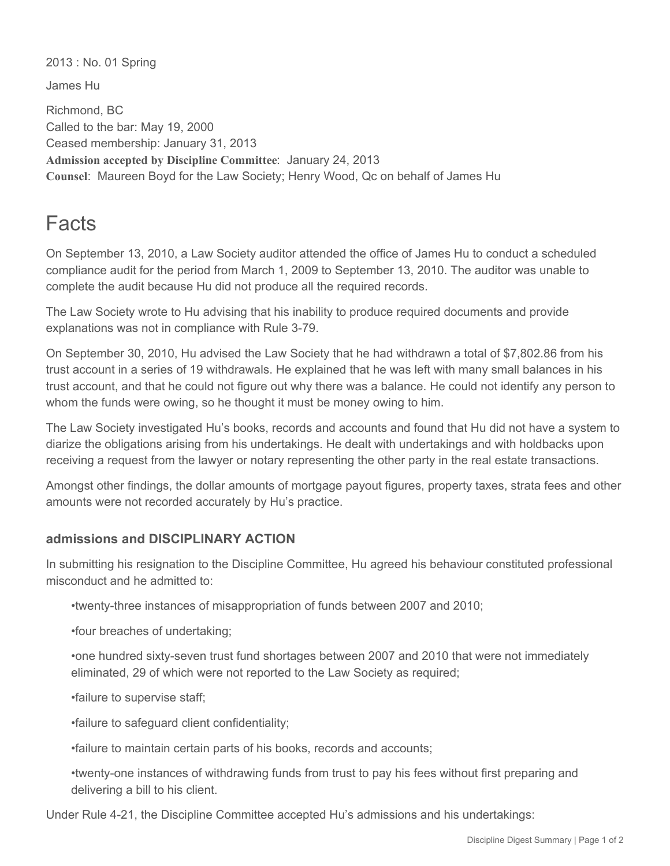2013 : No. 01 Spring

James Hu

Richmond, BC Called to the bar: May 19, 2000 Ceased membership: January 31, 2013 **Admission accepted by Discipline Committee**: January 24, 2013 **Counsel**: Maureen Boyd for the Law Society; Henry Wood, Qc on behalf of James Hu

## Facts

On September 13, 2010, a Law Society auditor attended the office of James Hu to conduct a scheduled compliance audit for the period from March 1, 2009 to September 13, 2010. The auditor was unable to complete the audit because Hu did not produce all the required records.

The Law Society wrote to Hu advising that his inability to produce required documents and provide explanations was not in compliance with Rule 3-79.

On September 30, 2010, Hu advised the Law Society that he had withdrawn a total of \$7,802.86 from his trust account in a series of 19 withdrawals. He explained that he was left with many small balances in his trust account, and that he could not figure out why there was a balance. He could not identify any person to whom the funds were owing, so he thought it must be money owing to him.

The Law Society investigated Hu's books, records and accounts and found that Hu did not have a system to diarize the obligations arising from his undertakings. He dealt with undertakings and with holdbacks upon receiving a request from the lawyer or notary representing the other party in the real estate transactions.

Amongst other findings, the dollar amounts of mortgage payout figures, property taxes, strata fees and other amounts were not recorded accurately by Hu's practice.

## **admissions and DISCIPLINARY ACTION**

In submitting his resignation to the Discipline Committee, Hu agreed his behaviour constituted professional misconduct and he admitted to:

•twenty-three instances of misappropriation of funds between 2007 and 2010;

•four breaches of undertaking;

•one hundred sixty-seven trust fund shortages between 2007 and 2010 that were not immediately eliminated, 29 of which were not reported to the Law Society as required;

•failure to supervise staff;

•failure to safeguard client confidentiality;

•failure to maintain certain parts of his books, records and accounts;

•twenty-one instances of withdrawing funds from trust to pay his fees without first preparing and delivering a bill to his client.

Under Rule 4-21, the Discipline Committee accepted Hu's admissions and his undertakings: